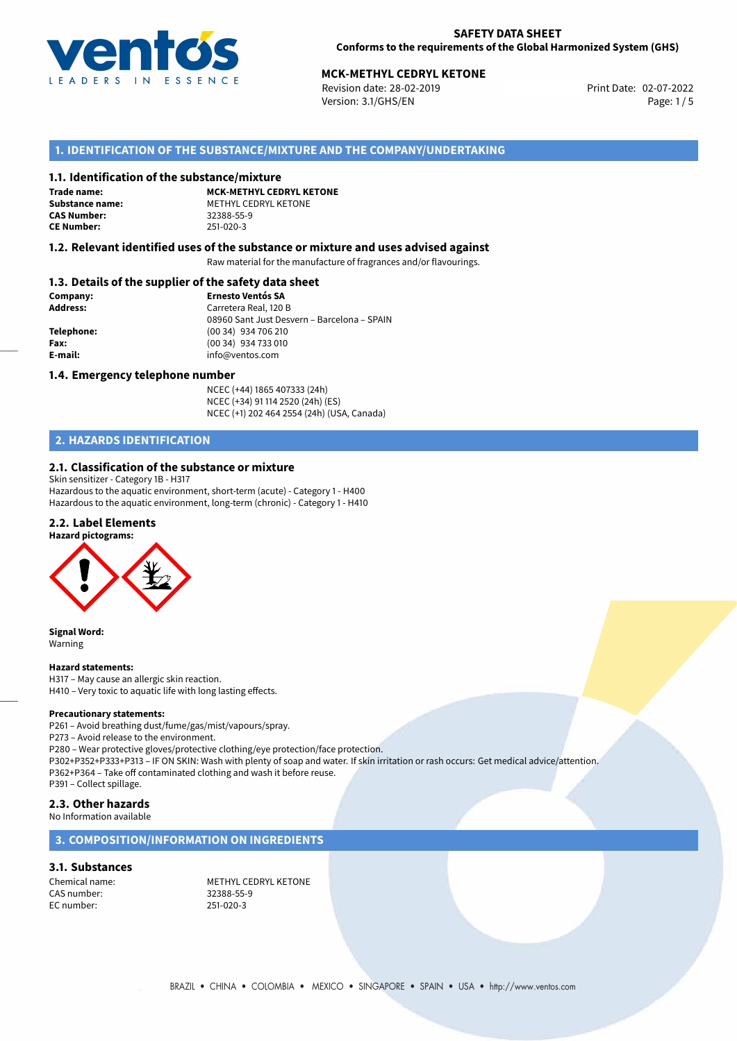

# **MCK-METHYL CEDRYL KETONE**<br>
Revision date: 28-02-2019<br>
Print Date: 02-07-2022

Revision date: 28-02-2019 Version: 3.1/GHS/EN Page: 1 / 5

## **1. IDENTIFICATION OF THE SUBSTANCE/MIXTURE AND THE COMPANY/UNDERTAKING**

#### **1.1. Identification of the substance/mixture**

**Trade name: CAS Number: CE Number:** 251-020-3

**MCK-METHYL CEDRYL KETONE Substance name:** METHYL CEDRYL KETONE<br> **CAS Number:** 32388-55-9

#### **1.2. Relevant identified uses of the substance or mixture and uses advised against**

Raw material for the manufacture of fragrances and/or flavourings.

## **1.3. Details of the supplier of the safety data sheet**

| Company:        | <b>Ernesto Ventós SA</b>                    |
|-----------------|---------------------------------------------|
| <b>Address:</b> | Carretera Real, 120 B                       |
|                 | 08960 Sant Just Desvern - Barcelona - SPAIN |
| Telephone:      | (00 34) 934 706 210                         |
| Fax:            | (00 34) 934 733 010                         |
| E-mail:         | info@ventos.com                             |
|                 |                                             |

#### **1.4. Emergency telephone number**

NCEC (+44) 1865 407333 (24h) NCEC (+34) 91 114 2520 (24h) (ES) NCEC (+1) 202 464 2554 (24h) (USA, Canada)

# **2. HAZARDS IDENTIFICATION**

#### **2.1. Classification of the substance or mixture**

Skin sensitizer - Category 1B - H317

Hazardous to the aquatic environment, short-term (acute) - Category 1 - H400 Hazardous to the aquatic environment, long-term (chronic) - Category 1 - H410

## **2.2. Label Elements**





**Signal Word:** Warning

#### **Hazard statements:**

H317 – May cause an allergic skin reaction. H410 – Very toxic to aquatic life with long lasting effects.

#### **Precautionary statements:**

P261 – Avoid breathing dust/fume/gas/mist/vapours/spray.

P273 – Avoid release to the environment.

P280 – Wear protective gloves/protective clothing/eye protection/face protection. P302+P352+P333+P313 – IF ON SKIN: Wash with plenty of soap and water. If skin irritation or rash occurs: Get medical advice/attention. P362+P364 – Take off contaminated clothing and wash it before reuse. P391 – Collect spillage.

## **2.3. Other hazards**

No Information available

### **3. COMPOSITION/INFORMATION ON INGREDIENTS**

## **3.1. Substances**

CAS number: 32388-55-9 EC number:

Chemical name: METHYL CEDRYL KETONE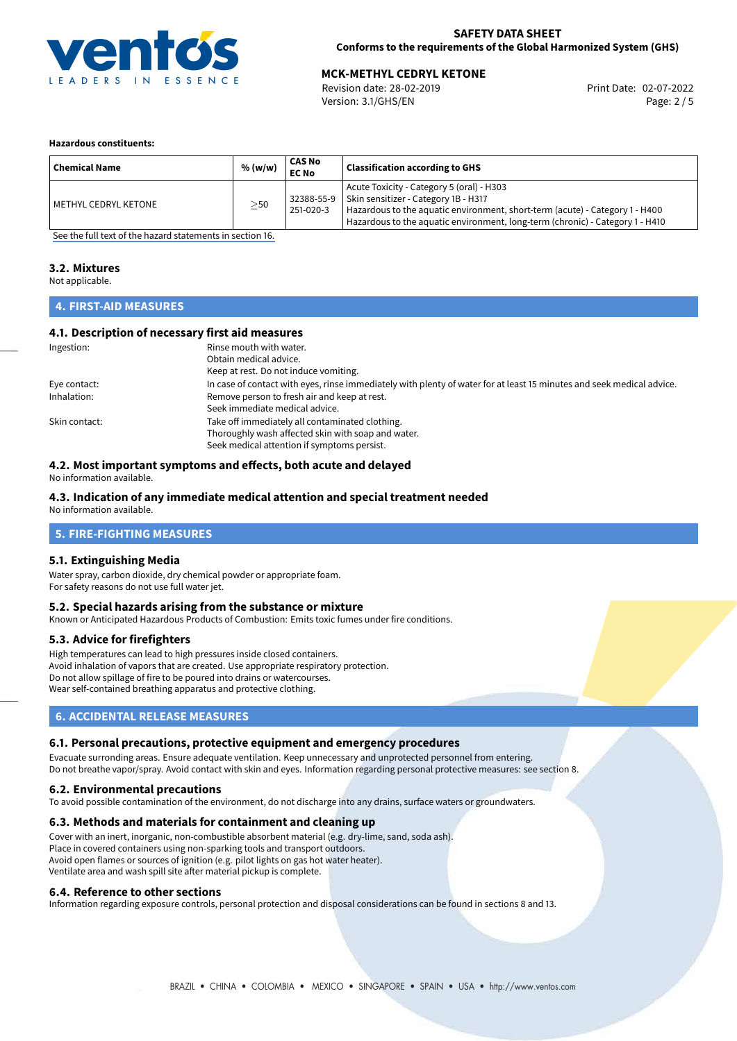

## **SAFETY DATA SHEET Conforms to the requirements of the Global Harmonized System (GHS)**

# **MCK-METHYL CEDRYL KETONE**<br>
Revision date: 28-02-2019<br> **Print Date: 02-07-2022**

Revision date: 28-02-2019 Version: 3.1/GHS/EN Page: 2 / 5

#### **Hazardous constituents:**

| <b>Chemical Name</b> | % (w/w)   | CAS No<br><b>EC No</b>  | <b>Classification according to GHS</b>                                                                                                                                                                                                             |
|----------------------|-----------|-------------------------|----------------------------------------------------------------------------------------------------------------------------------------------------------------------------------------------------------------------------------------------------|
| METHYL CEDRYL KETONE | $\geq$ 50 | 32388-55-9<br>251-020-3 | Acute Toxicity - Category 5 (oral) - H303<br>Skin sensitizer - Category 1B - H317<br>Hazardous to the aquatic environment, short-term (acute) - Category 1 - H400<br>Hazardous to the aquatic environment, long-term (chronic) - Category 1 - H410 |

[See the full text of the hazard statements in section 16.](#page-4-0)

## **3.2. Mixtures**

Not applicable.

## **4. FIRST-AID MEASURES**

## **4.1. Description of necessary first aid measures**

| Ingestion:    | Rinse mouth with water.                                                                                               |
|---------------|-----------------------------------------------------------------------------------------------------------------------|
|               | Obtain medical advice.                                                                                                |
|               | Keep at rest. Do not induce vomiting.                                                                                 |
| Eye contact:  | In case of contact with eyes, rinse immediately with plenty of water for at least 15 minutes and seek medical advice. |
| Inhalation:   | Remove person to fresh air and keep at rest.                                                                          |
|               | Seek immediate medical advice.                                                                                        |
| Skin contact: | Take off immediately all contaminated clothing.                                                                       |
|               | Thoroughly wash affected skin with soap and water.                                                                    |
|               | Seek medical attention if symptoms persist.                                                                           |

## **4.2. Most important symptoms and effects, both acute and delayed**

No information available.

## **4.3. Indication of any immediate medical attention and special treatment needed**

No information available.

## **5. FIRE-FIGHTING MEASURES**

#### **5.1. Extinguishing Media**

Water spray, carbon dioxide, dry chemical powder or appropriate foam. For safety reasons do not use full water jet.

#### **5.2. Special hazards arising from the substance or mixture**

Known or Anticipated Hazardous Products of Combustion: Emits toxic fumes under fire conditions.

#### **5.3. Advice for firefighters**

High temperatures can lead to high pressures inside closed containers. Avoid inhalation of vapors that are created. Use appropriate respiratory protection. Do not allow spillage of fire to be poured into drains or watercourses. Wear self-contained breathing apparatus and protective clothing.

## **6. ACCIDENTAL RELEASE MEASURES**

#### **6.1. Personal precautions, protective equipment and emergency procedures**

Evacuate surronding areas. Ensure adequate ventilation. Keep unnecessary and unprotected personnel from entering. Do not breathe vapor/spray. Avoid contact with skin and eyes. Information regarding personal protective measures: see section 8.

#### **6.2. Environmental precautions**

To avoid possible contamination of the environment, do not discharge into any drains, surface waters or groundwaters.

#### **6.3. Methods and materials for containment and cleaning up**

Cover with an inert, inorganic, non-combustible absorbent material (e.g. dry-lime, sand, soda ash). Place in covered containers using non-sparking tools and transport outdoors. Avoid open flames or sources of ignition (e.g. pilot lights on gas hot water heater). Ventilate area and wash spill site after material pickup is complete.

#### **6.4. Reference to other sections**

Information regarding exposure controls, personal protection and disposal considerations can be found in sections 8 and 13.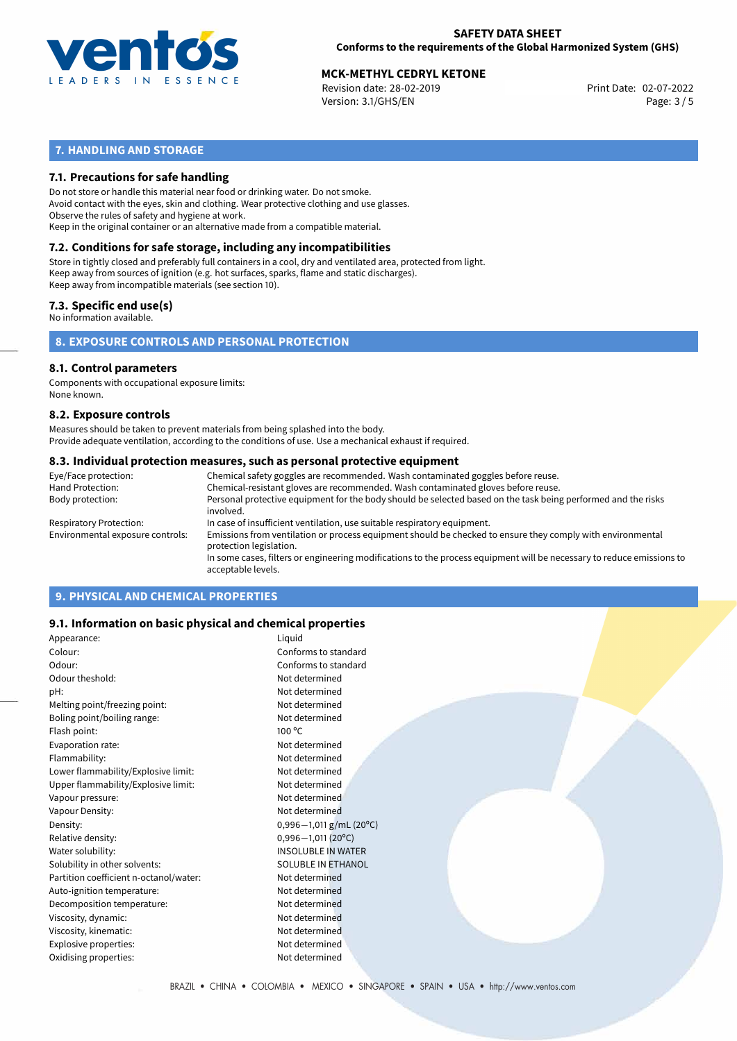

## **SAFETY DATA SHEET Conforms to the requirements of the Global Harmonized System (GHS)**

# **MCK-METHYL CEDRYL KETONE**<br>
Revision date: 28-02-2019<br>
Print Date: 02-07-2022

Revision date: 28-02-2019 Version: 3.1/GHS/EN Page: 3 / 5

# **7. HANDLING AND STORAGE**

## **7.1. Precautions for safe handling**

Do not store or handle this material near food or drinking water. Do not smoke. Avoid contact with the eyes, skin and clothing. Wear protective clothing and use glasses. Observe the rules of safety and hygiene at work. Keep in the original container or an alternative made from a compatible material.

# **7.2. Conditions for safe storage, including any incompatibilities**

Store in tightly closed and preferably full containers in a cool, dry and ventilated area, protected from light. Keep away from sources of ignition (e.g. hot surfaces, sparks, flame and static discharges). Keep away from incompatible materials (see section 10).

## **7.3. Specific end use(s)**

No information available.

**8. EXPOSURE CONTROLS AND PERSONAL PROTECTION**

#### **8.1. Control parameters**

Components with occupational exposure limits: None known.

#### **8.2. Exposure controls**

Measures should be taken to prevent materials from being splashed into the body. Provide adequate ventilation, according to the conditions of use. Use a mechanical exhaust if required.

#### **8.3. Individual protection measures, such as personal protective equipment**

| Eye/Face protection:             | Chemical safety goggles are recommended. Wash contaminated goggles before reuse.                                                            |
|----------------------------------|---------------------------------------------------------------------------------------------------------------------------------------------|
| Hand Protection:                 | Chemical-resistant gloves are recommended. Wash contaminated gloves before reuse.                                                           |
| Body protection:                 | Personal protective equipment for the body should be selected based on the task being performed and the risks<br>involved.                  |
| Respiratory Protection:          | In case of insufficient ventilation, use suitable respiratory equipment.                                                                    |
| Environmental exposure controls: | Emissions from ventilation or process equipment should be checked to ensure they comply with environmental<br>protection legislation.       |
|                                  | In some cases, filters or engineering modifications to the process equipment will be necessary to reduce emissions to<br>acceptable levels. |
|                                  |                                                                                                                                             |

## **9. PHYSICAL AND CHEMICAL PROPERTIES**

## **9.1. Information on basic physical and chemical properties**

| Appearance:                            | Liquid                    |
|----------------------------------------|---------------------------|
| Colour:                                | Conforms to standard      |
| Odour:                                 | Conforms to standard      |
| Odour theshold:                        | Not determined            |
| pH:                                    | Not determined            |
| Melting point/freezing point:          | Not determined            |
| Boling point/boiling range:            | Not determined            |
| Flash point:                           | $100^{\circ}$ C           |
| Evaporation rate:                      | Not determined            |
| Flammability:                          | Not determined            |
| Lower flammability/Explosive limit:    | Not determined            |
| Upper flammability/Explosive limit:    | Not determined            |
| Vapour pressure:                       | Not determined            |
| Vapour Density:                        | Not determined            |
| Density:                               | $0,996-1,011$ g/mL (20°C) |
| Relative density:                      | $0,996 - 1,011(20°C)$     |
| Water solubility:                      | <b>INSOLUBLE IN WATER</b> |
| Solubility in other solvents:          | <b>SOLUBLE IN ETHANOL</b> |
| Partition coefficient n-octanol/water: | Not determined            |
| Auto-ignition temperature:             | Not determined            |
| Decomposition temperature:             | Not determined            |
| Viscosity, dynamic:                    | Not determined            |
| Viscosity, kinematic:                  | Not determined            |
| Explosive properties:                  | Not determined            |
| Oxidising properties:                  | Not determined            |
|                                        |                           |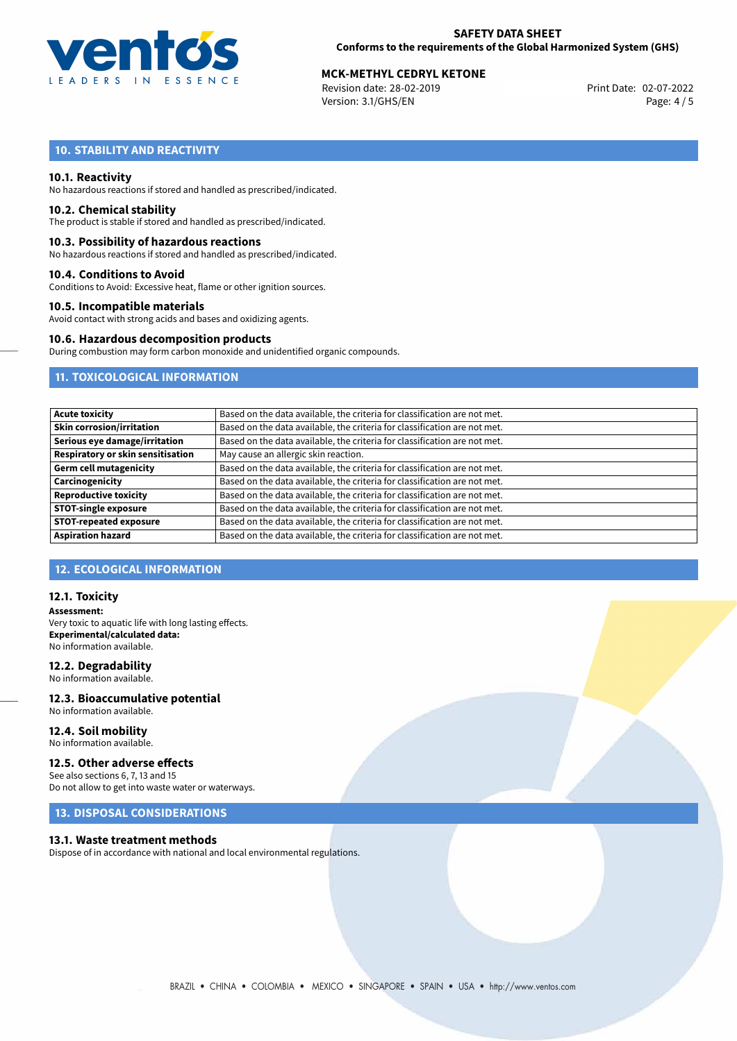

## **SAFETY DATA SHEET Conforms to the requirements of the Global Harmonized System (GHS)**

# **MCK-METHYL CEDRYL KETONE**<br>
Revision date: 28-02-2019<br> **Print Date: 02-07-2022**

Revision date: 28-02-2019 Version: 3.1/GHS/EN Page: 4 / 5

# **10. STABILITY AND REACTIVITY**

### **10.1. Reactivity**

No hazardous reactions if stored and handled as prescribed/indicated.

#### **10.2. Chemical stability**

The product is stable if stored and handled as prescribed/indicated.

#### **10.3. Possibility of hazardous reactions**

No hazardous reactions if stored and handled as prescribed/indicated.

#### **10.4. Conditions to Avoid**

Conditions to Avoid: Excessive heat, flame or other ignition sources.

#### **10.5. Incompatible materials**

Avoid contact with strong acids and bases and oxidizing agents.

## **10.6. Hazardous decomposition products**

During combustion may form carbon monoxide and unidentified organic compounds.

## **11. TOXICOLOGICAL INFORMATION**

| <b>Acute toxicity</b>             | Based on the data available, the criteria for classification are not met. |
|-----------------------------------|---------------------------------------------------------------------------|
|                                   |                                                                           |
| Skin corrosion/irritation         | Based on the data available, the criteria for classification are not met. |
| Serious eye damage/irritation     | Based on the data available, the criteria for classification are not met. |
| Respiratory or skin sensitisation | May cause an allergic skin reaction.                                      |
| Germ cell mutagenicity            | Based on the data available, the criteria for classification are not met. |
| Carcinogenicity                   | Based on the data available, the criteria for classification are not met. |
| Reproductive toxicity             | Based on the data available, the criteria for classification are not met. |
| <b>STOT-single exposure</b>       | Based on the data available, the criteria for classification are not met. |
| <b>STOT-repeated exposure</b>     | Based on the data available, the criteria for classification are not met. |
| <b>Aspiration hazard</b>          | Based on the data available, the criteria for classification are not met. |

## **12. ECOLOGICAL INFORMATION**

### **12.1. Toxicity**

**Assessment:** Very toxic to aquatic life with long lasting effects. **Experimental/calculated data:** No information available.

### **12.2. Degradability**

No information available.

#### **12.3. Bioaccumulative potential** No information available.

**12.4. Soil mobility** No information available.

# **12.5. Other adverse effects**

See also sections 6, 7, 13 and 15 Do not allow to get into waste water or waterways.

## **13. DISPOSAL CONSIDERATIONS**

#### **13.1. Waste treatment methods**

Dispose of in accordance with national and local environmental regulations.